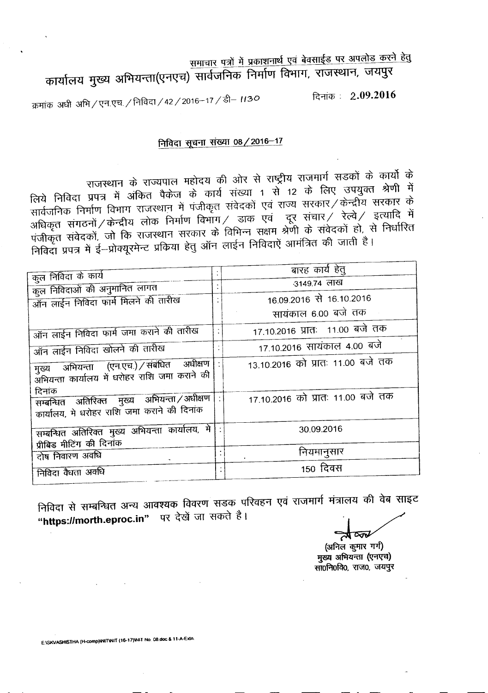समाचार पत्रों में प्रकाशनार्थ एवं बेवसाईड पर अपलोड करने हेतु कार्यालय मुख्य अभियन्ता(एनएच) सार्वजनिक निर्माण विभाग, राजस्थान, जयपुर

~: 2.09.2016 क्रमांक अधी अभि / एन.एच. / निविदा / 42 / 2016-17 / डी- 1130

## निविदा सूचना संख्या 08 / 2016-17

राजस्थान के राज्यपाल महोदय की ओर से राष्ट्रीय राजमार्ग सडकों के कार्यो के<br>संजय को में के अपने में कि उपायक से भी से प्रो राजस्थान के राज्यपाल महादय का आर से संख्या में से स्था सम्भवता श्रेणी में<br>लिये निविदा प्रपत्र में अंकित पैकेज के कार्य संख्या 1 से 12 के लिए उपयुक्त श्रेणी में लिये निविदा प्रपत्र में अंकित पंकज के कार्य संख्या । से 12 में स्टेर केन्द्रीय सरकार के<br>सार्वजनिक निर्माण विभाग राजस्थान में पंजीकृत संवेदकों एवं राज्य सरकार / केन्द्रीय सरकार के सार्वजनिक निर्माण विभाग राजस्थान में पंजाकृत संपद्धकों एवं संस्कृति संस्कृति हत्यादि में<br>अधिकृत संगठनों / केन्द्रीय लोक निर्माण विभाग / डाक एवं ट्रूर संचार / रेल्वे / इत्यादि में अधिकृत संगठनों / केन्द्रीय लोक निर्माण विभाग / डांके एवं पूर राजार/ रेखी रहेगा है।<br>पंजीकृत संवेदकों, जो कि राजस्थान सरकार के विभिन्न सक्षम श्रेणी के संवेदकों हो, से निर्धारित<br>पंजीकृत संवेदकों, जो कि राजस्थान सरकार के विनन पंजीकृत संवेदको, जो कि राजस्थान सरकार के विनिन्द राजन के मान संस्कृति हैं।<br>निविदा प्रपत्र में ई—प्रोक्यूरमेन्ट प्रकिया हेतु ऑन लाईन निविदाएं आमंत्रित की जाती है।

| कुल निविदा के कार्य                                                                                 | बारह कार्य हेतु                   |
|-----------------------------------------------------------------------------------------------------|-----------------------------------|
| कुल निविदाओं की अनुमानित लागत                                                                       | 3149.74 लाख                       |
| ऑन लाईन निविदा फार्म मिलने की तारीख                                                                 | 16.09.2016 से 16.10.2016          |
|                                                                                                     | सायंकाल 6.00 बजे तक               |
| ऑन लाईन निविदा फार्म जमा कराने की तारीख                                                             | 17.10.2016 प्रातः 11.00 बजे तक    |
| ऑन लाईन निविदा खोलने की तारीख                                                                       | 17.10.2016 सायंकाल 4.00 बजे       |
| मुख्य अभियन्ता (एन.एच.) संबंधित अधीक्षण<br>अभियन्ता कार्यालय में धरोहर राशि जमा कराने की            | 13.10.2016 को प्रातः 11.00 बजे तक |
| दिनांक<br>सम्बन्धित अतिरिक्त मुख्य अभियन्ता /अधीक्षण<br>कार्यालय, मे धरोहर राशि जमा कराने की दिनांक | 17.10.2016 को प्रातः 11.00 बजे तक |
| सम्बन्धित अतिरिक्त मुख्य अभियन्ता कार्यालय, मे                                                      | 30.09.2016                        |
| प्रीबिड मीटिंग की दिनांक<br>दोष निवारण अवधि                                                         | नियमानुसार                        |
| निविदा वैधता अवधि                                                                                   | 150 दिवस                          |
|                                                                                                     |                                   |

निविदा से सम्बन्धित अन्य आवश्यक विवरण सडक परिवहन एवं राजमार्ग मंत्रालय की वेब साइट "https://morth.eproc.in" पर देखें जा सकते है।

 $\overline{\infty}$ 

(अनिल कुमार गर्ग) मुख्य अभियन्ता (एनएच) सा0नि0वि0, राज0, जयपुर

E:\SKVASHISTHA (H-comp)\NIT\NIT (16-17)\NIT No. 08.doc & 11-A-Extn.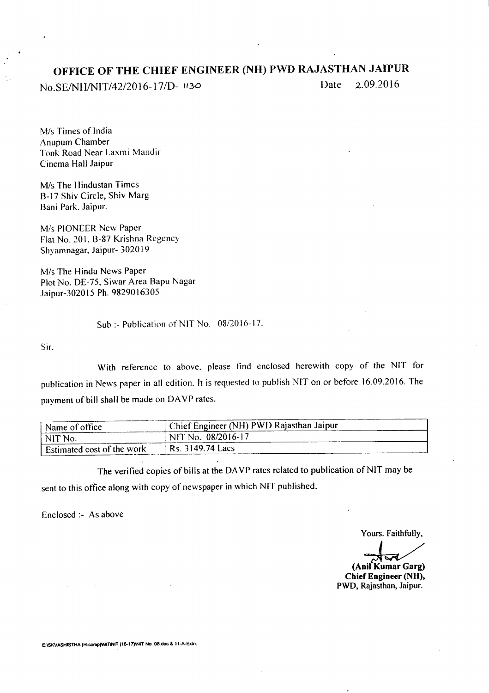# **OFFICE OF THE CHIEF ENGINEER (NH) PWD RAJASTHAN JAIPUR**

*No.SEINHINIT/42/2016-17/D- <sup>1130</sup>* Date 2.09.2016

M/s Times of India Anupum Chamber Tonk Road Near Laxmi Mandir Cinema Hall Jaipur

M/s The Hindustan Times B-17 Shiv Circle, Shiv Marg Bani Park. Jaipur.

Mis PIONEER New Paper Flat No. 201, B-87 Krishna Regency Shyamnagar, Jaipur- 302019

*Mis* The Hindu News Paper Plot No. DE-7S. Siwar Area Bapu Nagar Jaipur-3020 15 Ph. 9829016305

Sub:- Publication of NIT No. *08/2016-17.*

Sir.

With reference to above. please find enclosed herewith copy of the NIT for publication in News paper in all edition. It is requested to publish NIT on or before 16.09.2016. The payment of bill shall be made on DAVP rates.

| Name of office             | <sup>1</sup> Chief Engineer (NH) PWD Rajasthan Jaipur |  |
|----------------------------|-------------------------------------------------------|--|
| NIT No.                    | NIT No. 08/2016-17                                    |  |
| Estimated cost of the work | Rs. 3149.74 Lacs                                      |  |

The verified copies of bills at the DA VP rates related to publication of NIT may be sent to this office along with copy of newspaper in which NIT published.

Enclosed :- As above

Yours. Faithfully,

~ **(Anil Kumar Garg)**

**Chief Engineer (NH),** PWD, Rajasthan, Jaipur.

E:\SKVASHISTHA (H-comp)\NITNIT (16-17)\NIT No. 08.doc & 11-A-Extn.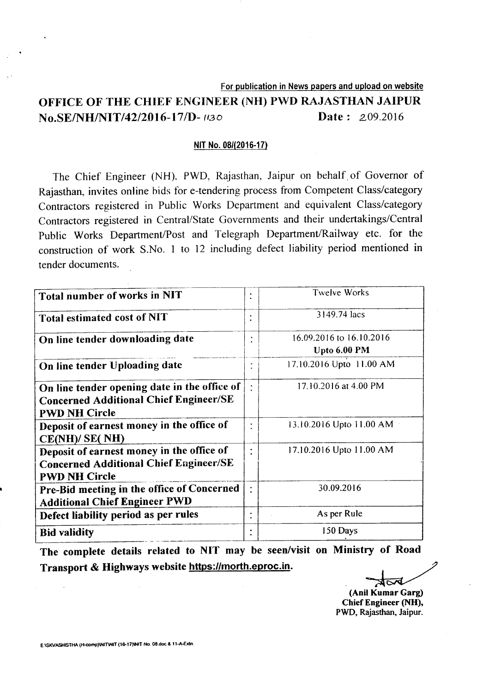#### For publication in News papers and upload on website

# OFFICE OF THE CHIEF ENGINEER (NH) PWD RAJASTHAN JAIPUR **No.SE/NH/NIT/42/2016-17/D-** ((30) **Date:** 2.09.2016

#### NITNo. *08/(2016-17)*

The Chief Engineer (NH). PWD, Rajasthan, Jaipur on behalf. of Governor of Rajasthan, invites online bids for e-tendering process from Competent Class/category Contractors registered in Public Works Department and equivalent Class/category Contractors registered in Central/State Governments and their undertakings/Central Public Works Department/Post and Telegraph Department/Railway etc. for the construction of work S.No. 1 to 12 including defect liability period mentioned in tender documents.

| Total number of works in NIT                                                                                          |                | <b>Twelve Works</b>                      |
|-----------------------------------------------------------------------------------------------------------------------|----------------|------------------------------------------|
| Total estimated cost of NIT                                                                                           |                | 3149.74 lacs                             |
| On line tender downloading date                                                                                       | ٠              | 16.09.2016 to 16.10.2016<br>Upto 6.00 PM |
| On line tender Uploading date                                                                                         |                | 17.10.2016 Upto 11.00 AM                 |
| On line tender opening date in the office of<br><b>Concerned Additional Chief Engineer/SE</b><br><b>PWD NH Circle</b> |                | 17.10.2016 at 4.00 PM                    |
| Deposit of earnest money in the office of<br>CE(NH)/ SE(NH)                                                           | ٠              | 13.10.2016 Upto 11.00 AM                 |
| Deposit of earnest money in the office of<br><b>Concerned Additional Chief Engineer/SE</b><br><b>PWD NH Circle</b>    | ٠              | 17.10.2016 Upto 11.00 AM                 |
| Pre-Bid meeting in the office of Concerned<br><b>Additional Chief Engineer PWD</b>                                    | $\ddot{\cdot}$ | 30.09.2016                               |
| Defect liability period as per rules                                                                                  | ٠              | As per Rule                              |
| <b>Bid validity</b>                                                                                                   | ٠              | 150 Days                                 |

The complete details related to NIT may be seen/visit on Ministry of Road Transport & Highways website https://morth.eproc.in.

(Anil Kumar Garg)

Chief Engineer (NH), PWD, Rajasthan, Jaipur.

E ISKVASHISTHA (H-comp)\NIT\NIT (16-17)\NIT No. 08.doc & 11-A-Extn.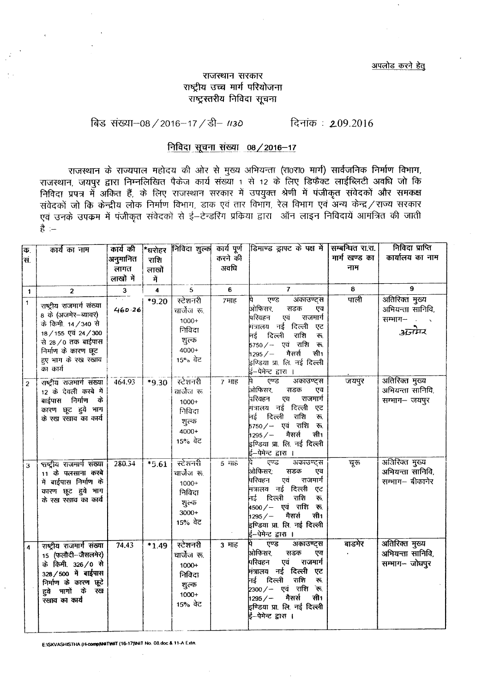#### राजस्थान सरकार राष्ट्रीय उच्च मार्ग परियोजना राष्ट्रस्तरीय निविदा सूचना

# विड संख्या-08 / 2016-17 / डी- 1130 <del>दिनांक</del>: 209.2016

### निविदा सूचना संख्या 08/2016-17

राजस्थान के राज्यपाल महोदय की ओर से मुख्य अभियन्ता (रा0रा0 मार्ग) सार्वजनिक निर्माण विभाग, राजस्थान के राज्यपाल नहीदय की और से नुख्य आनवरता (राज्या नाग) सांपेजीनक निर्माण विनान.<br>राजस्थान, जयपुर द्वारा निम्नलिखित पैकेज कार्य संख्या 1 से 12 के लिए डिफैक्ट लाईब्लिटी अवधि जो कि f.1fcRT m -ij <sup>~</sup> ~. \* ~ ~ ~ -ij \3q~Ckf <sup>~</sup> -ij 4\Jllitict {i4~<t>1 3tR "ffl1cPeJ fi~~Cf>1 \Jll fcp <sup>~</sup> c>Jlcp <sup>~</sup> fcprrrr, <sup>~</sup> <sup>~</sup> OR fcNrT, ~ fcr:rrTT <sup>~</sup> 3FlJ ~ /~ mcJJR ~ ~ ~ -ij 4vf!itict ~'r ~ t-er;sRJI >rFcPm <sup>~</sup> <sup>~</sup> <sup>~</sup> PlFclGlti ~ ~ \Jl"RlT  $\frac{4}{5}$  :-

| कि.                     | कार्य का नाम                                                                                                                                                                    | कार्य की                                        | *घरोहर    |                                                                             |                     | निविदा शुल्क कार्य पूर्ण डिमाण्ड ड्राफ्ट के पक्ष में सिम्बन्धित रा.रा.                                                                                                                                                                                     |               | निविदा प्राप्ति                                        |
|-------------------------|---------------------------------------------------------------------------------------------------------------------------------------------------------------------------------|-------------------------------------------------|-----------|-----------------------------------------------------------------------------|---------------------|------------------------------------------------------------------------------------------------------------------------------------------------------------------------------------------------------------------------------------------------------------|---------------|--------------------------------------------------------|
| सं.                     |                                                                                                                                                                                 | अनुमानित                                        | राशि      |                                                                             | करने की             |                                                                                                                                                                                                                                                            | मार्ग खण्ड का | कार्यालय का नाम                                        |
|                         |                                                                                                                                                                                 | लागत                                            | लाखों     |                                                                             | अवधि                |                                                                                                                                                                                                                                                            | नाम           |                                                        |
|                         |                                                                                                                                                                                 | लाखों में                                       | में       |                                                                             |                     |                                                                                                                                                                                                                                                            |               |                                                        |
| $\mathbf{1}$            | $\overline{2}$                                                                                                                                                                  | $\mathbf{3}$                                    | $\pmb{4}$ | 5                                                                           | 6                   | $\overline{7}$                                                                                                                                                                                                                                             | 8             | 9                                                      |
| $\ddagger$              | राष्ट्रीय राजमार्ग संख्या<br>8 के (अजमेर-न्यावर)<br>के किमी. 14 / 340 से<br>18 / 155 एवं 24 / 300<br>से 28/0 तक बाईपास<br>निर्माण के कारण छूट<br>हुए भाग के रख रखाव<br>का कार्य | $\overline{\mathcal{F}(\mathcal{F})}$<br>460.26 | $*9.20$   | स्टेशनरी<br>चार्जेज रू.<br>$1000+$<br>निविदा<br>शुल्क<br>$4000+$<br>15% ਕੇਟ | 7माह                | एण्ड<br>अकाउण्ट्स<br>À.<br>ओफिसर,<br>सडक<br>एव<br>परिवहन<br>एवं<br>राजमार्ग<br>मंत्रालय नई दिल्ली<br>एट<br>राशि<br>नई दिल्ली<br>रू.<br>5750/- एवं राशि रू.<br>$1295/-$<br>मैसर्स<br>सी1<br>इण्डिया प्रा. लि. नई दि <mark>ल्ली</mark><br>ई–पेमेन्ट द्वारा । | पाली          | अतिरिक्त मुख्य<br>अभियन्ता सानिवि,<br>सम्भाग—<br>अनेमर |
| $\overline{c}$          | राष्ट्रीय राजमार्ग संख्या<br>12 के देवली कस्बे में<br>बाईपास निर्माण<br>के<br>कारण छूट हुये भाग<br>के रख रखाव का कार्य                                                          | 464.93                                          | *9.30     | स्टेशनरी<br>वार्जेज रू<br>1000+<br>निविदा<br>शुल्क<br>$4000+$<br>15% ਕੇਟ    | $7$ $H\bar{B}$      | एण्ड<br>अकाउण्ट्स<br>ओफिसर,<br>सडक<br>एव<br>राजमार्ग<br>.<br>नरिवहन<br>एव<br>.<br>मंत्रालय नई दिल्ली एट<br>नई दिल्ली<br>राशि<br>रू.<br> <br> 5750/-- एवं राशि रू.<br>सी1<br>1295/<br>मैसर्स<br>इण्डिया प्रा. लि. नई दिल्ली<br>ई—पेमेन्ट द्वारा ।           | जयपुर         | अतिरिक्त मुख्य<br>अभियन्ता सानिवि,<br>सम्भाग- जयपुर    |
| $\overline{\mathbf{3}}$ | राष्ट्रीय राजमार्ग संख्या<br>$11$ के पलसाना कस्बे<br>में बाईपास निर्माण के<br>कारण छूट हुये भाग<br>के रख रखाव का कार्य                                                          | 280.34                                          | $*5.61$   | स्टेशनरी<br>चार्जेज रू.<br>1000+<br>निविदा<br>शुल्क<br>$3000+$<br>15% वेट   | $5 - \frac{1}{118}$ | रण्ड<br>अकाउण्ट्स<br>ओफिसर;<br>सडक<br>एव<br>परिवहन<br>एवं<br>राजमार्ग<br>.<br>मंत्रालय नई दिल्ली एट<br>नई दिल्ली<br>राशि<br>रू.<br>$4500 / -$ एवं राशि रू.<br>सी1<br>$1295/-$<br>मैसर्स<br>इण्डिया प्रा लि. नई दिल्ली<br>ई–पेमेन्ट द्वारा ।                | चूरू          | अतिरिक्त मुख्य<br>अभियन्ता सानिवि,<br>सम्भाग– बीकानेर  |
| $\overline{\mathbf{A}}$ | राष्ट्रीय राजमार्ग संख्या<br>15 (फलौदी-जैसलमेर)<br>के किमी. 326/0 से<br>328/500 में बाईपास<br>निर्माण के कारण छूटे<br>हुये भागों के रख<br>रखाव का कार्य                         | 74.43                                           | $*1.49$   | स्टेशनरी<br>चार्जेज रू.<br>$1000+$<br>निविदा<br>शुल्क<br>$1000+$<br>15% वेट | 3 माह               | एण्ड<br><u>अकाउण्ट्स</u><br>.<br>ओफिसर,<br>सडक<br>एव<br>परिवहन <b>ः</b><br>एवं राजमार्ग<br>मंत्रालय नई दिल्ली एट<br>राशि<br>नई दिल्ली<br>रू.<br>2300/- एवं राशि रू.<br>सी1<br>$1295 / -$ मैसर्स<br>gण्डिया प्रा. लि. नई दिल्ली<br>ई--पेमेन्ट द्वारा ।      | बाडमेर        | अतिरिक्त मुख्य<br>अभियन्ता सानिवि,<br>सम्भाग-जोधपुर    |

E:ISKVASHISTHA (H-comp)NNTWIT (16-17)INIT No. 08.doc & 11-A Extr.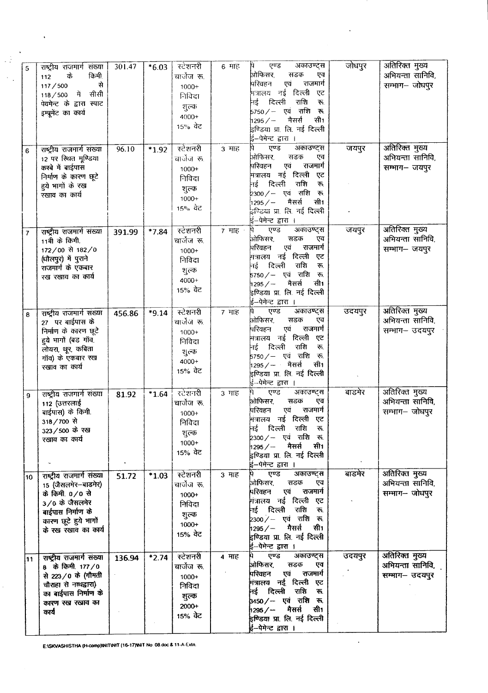| 5              | राष्ट्रीय राजमार्ग संख्या<br>किमी<br>के<br>112<br>से<br>117/500<br>में सीसी<br>118/500<br>पेवमेन्ट के द्वारा स्पाट<br>इम्प्रूमेंट का कार्य                | 301.47 | $*6.03$ | स्टेशनरी<br>चार्जेज रू.<br>$1000 +$<br>निविदा<br>शुल्क<br>$4000+$<br>15% ਕੇਟ | $6$ माह                    | एण्ड<br>अकाउण्ट्स<br>पि<br>.<br>ओफिसर,<br>सडक<br>एव<br>राजमार्ग<br>परिवहन<br>एवं<br>मत्रालय नई दिल्ली<br>एट<br>नई दिल्ली<br>राशि<br>रू.<br>5750 / — एवं राशि<br>रू.<br>मैसर्स<br>सी1<br>$1295/-$<br>इण्डिया प्रा. लि. नई दिल्ली<br>ई–पेमेन्ट द्वारा ।         | जोधपुर | अतिरिक्त मुख्य<br>अभियन्ता सानिवि,<br>सम्भाग- जोधपुर |
|----------------|-----------------------------------------------------------------------------------------------------------------------------------------------------------|--------|---------|------------------------------------------------------------------------------|----------------------------|---------------------------------------------------------------------------------------------------------------------------------------------------------------------------------------------------------------------------------------------------------------|--------|------------------------------------------------------|
| 6              | राष्ट्रीय राजमार्ग संख्या<br>12 पर स्थित मूण्डिया<br>कस्बे में बाईपास<br>निर्माण के कारण छूटे<br>हुये भागों के रख<br>रखाव का कार्य                        | 96.10  | $*1.92$ | स्टेशनरी<br>चार्जज रू.<br>$1000+$<br>निविदा<br>शुल्क<br>$1000+$<br>15% ਕੋਟ   | 3 माह                      | एण्ड<br>अकाउण्ट्स<br>ओफिसर,<br>सडक<br>एव<br>राजमार्ग<br>एवं<br>परिवहन<br>मंत्रालय नई दिल्ली<br>एट<br>नई दिल्ली<br>राशि<br>$\overline{\bullet}$ .<br>2300 / — एवं राशि<br>्रक्त<br>सी1<br>1295/<br>मैसर्स<br>इण्डिया प्रा. लि. नई दिल्ली<br>ई–पेमेन्ट द्वारा । | जयपुर  | अतिरिक्त मुख्य<br>अभियन्ता सानिवि,<br>सम्भाग-जयपुर   |
| $\overline{7}$ | राष्ट्रीय राजमार्ग संख्या<br>11वी के किमी.<br>172/00 से 182/0<br>(धौलपुर) में पुराने<br>राजमार्ग के एकबार<br>रख रखाव का कार्य                             | 391.99 | *7.84   | स्टेशनरी<br>चार्जेज रू.<br>$1000+$<br>निविदा<br>शुल्क<br>4000+<br>15% ਕੋਟ    | $7$ माह $\cdot$            | एण्ड<br>अकाउण्ट्स<br>Ħ<br>ओफिसर,<br>सडक<br>एव<br>राजमार्ग<br>एवं<br>परिवहन<br>मत्रालय नई दिल्ली<br>एट<br>दिल्ली<br>राशि<br>ाई<br>रू.<br>5750 <i>/</i> – एवं राशि<br>रू.<br>सी1<br>मैसर्स<br>1295/<br>इण्डिया प्रा. लि. नई दिल्ली<br>ई–पेमेन्ट द्वारा ।        | जयपुर  | अतिरिक्त मुख्य<br>अभियन्ता सानिवि,<br>सम्भाग- जयपुर  |
| 8              | राष्ट्रीय राजमार्ग संख्या<br>27 पर बाईपास के<br>निर्माण के कारण छूटे<br>हये भागों (बड गॉव,<br>लोयरा, थूर, कबिता<br>गाँव) के एकबार रख<br>रखाव का कार्य     | 456.86 | *9.14   | स्टेशनरी<br>चार्जेज रू<br>$1000+$<br>निविदा<br>शुल्क<br>4000+<br>15% वेट     | 7 माह                      | एण्ड<br>अकाउण्ट्स<br>h<br>ओफिसर,<br>सडक<br>एव<br>एवं राजमार्ग<br>परिवहन<br>मंत्रालय नई दिल्ली एट<br>नई दिल्ली<br>राशि<br>रू.<br> <br>5750∕— एवं राशि रू.<br>1295 / — मैसर्स<br>सी1<br>इण्डिया प्रा. लि. नई दिल्ली<br>ई–पेमेन्ट द्वारा ।                       | उदयपुर | अतिरिक्त मुख्य<br>अभियन्ता सानिवि,<br>सम्भाग– उदयपुर |
| 9              | राष्ट्रीय राजगार्ग संख्या<br>112 (उत्तरलाई<br>बाईपास) के किमी.<br>318/700 से<br>323/500 के रख<br>रखाव का कार्य                                            | 81.92  | $*1.64$ | रटेशनरी<br>चार्जेज रू.<br>$1000+$<br>निविदा<br>शुल्क<br>$1000+$<br>15% वेट   | $3 \text{ }\overline{116}$ | अकाउण्ट्स<br>þ)<br>एण्ड<br>ओफिसर,<br>सडक<br>एव<br>राजमार्ग<br>परिवहन<br>एवं<br>मंत्रालय नई दिल्ली<br>एट<br>दिल्ली<br>राशि<br>नई<br>रू.<br>2300⁄– एवं राशि रू<br>मैसर्स<br>सी1<br>1295/<br>इण्डिया प्रा. लि. नई दिल्ली<br>ई-पेमेन्ट द्वारा ।                   | बाडमेर | अतिरिक्त मुख्य<br>अभियन्ता सानिवि,<br>सम्भाग-जोधपुर  |
| 10             | राष्ट्रीय राजमार्ग संख्या<br>15 (जैसलमेर-बाडमेर)<br>के किमी. 0/0 से<br>3/0 के जैसलमेर<br>बाईपास निर्माण के<br>कारण छूटे हुये भागों<br>के रख रखाव का कार्य | 51.72  | $*1.03$ | स्टेशनरी<br>ঘাতীতা জ.<br>1000+<br>निविदा<br>शुल्क<br>$1000+$<br>15% वेट      | 3 माह                      | पे एण्ड<br>अकाउण्ट्स<br>ओफिसर,<br>सडक<br>एव<br>एवं राजमार्ग<br>परिवहन<br>नित्रालय नई दिल्ली एट<br>नई दिल्ली राशि रू.<br>2300 / - एवं राशि रू.<br>1295 / – मैसर्स सी1<br>इण्डिया प्रा. लि. नई दिल्ली<br>ई--पेमेन्ट द्वारा ।                                    | बाडमेर | अतिरिक्त मुख्य<br>अभियन्ता सानिवि,<br>सम्भाग-जोधपुर  |
| 11             | राष्ट्रीय राजमार्ग संख्या<br>8 के किमी 177/0<br>से 223/0 के (गौमती<br>चौराहा से नाथद्वारा)<br>का बाईपास निर्माण के<br>कारण रख रखाव का<br>कार्य            | 136.94 | $*2.74$ | स्टेशनरी<br>चार्जेज रू.<br>1000+<br>निविदा<br>शुल्क<br>$2000+$<br>15% वेट    | 4 माह                      | एण्ड<br>अकाउण्ट्स<br>ओफिसर, सडक<br>एव<br>परिवहन एवं राजमार्ग<br>मंत्रालय नई दिल्ली एट<br>नई दिल्ली राशि रू<br>3450/- एवं राशि रू.<br>1295 / — मैसर्स सी1<br>इण्डिया प्रा. लि. नई दिल्ली<br>ई्र–पेमेन्ट द्वारा ।                                               | उदयपुर | अतिरिक्त मुख्य<br>अभियन्ता सानिवि,<br>सम्भाग- उदयपुर |

 $\ddot{\phantom{a}}$ 

 $\ddot{\phantom{a}}$ 

E:\SKVASHISTHA (H-comp)\NIT\NIT (16-17)\NIT No. 08.doc & 11-A-Extn.

 $\hat{\mathbf{v}}$ 

 $\mathbb{R}^2$ 

 $\hat{\mathbf{v}}$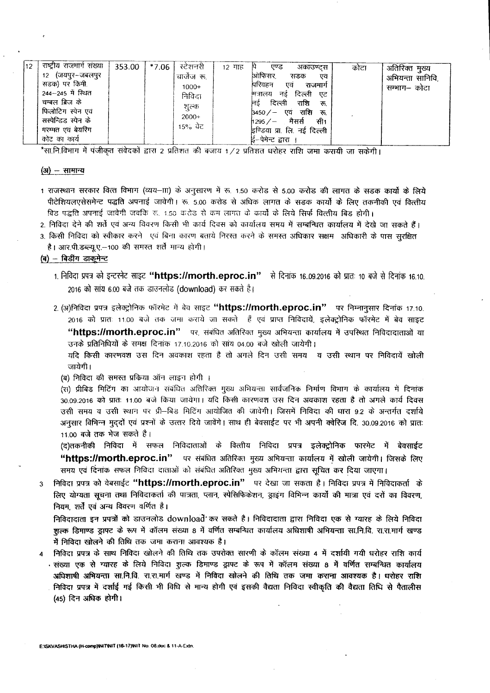| 12 | राष्ट्रीय राजमार्ग संख्या<br>12 (जयपुर–जबलपुर<br>सडक) पर किमी<br>244–245 में स्थित<br>चम्बल ब्रिज के<br>फिलोटिंग स्पेन एवं<br>सस्पेन्डिड स्पेन के<br>मरम्मत एवं बेयरिंग<br>कोट का कार्य | 353.00 | 1 *7.06 | रटेशनरी<br>चार्जेज रू.<br>$1000+$<br>निविदा<br>शूल्क<br>$2000+$<br>15% ਕੇਟ | १२ माह | एण्ड<br>अकाउण्टस<br>ओफिसर,<br>सडक<br>पिरिवहन<br>एवं<br>नई दिल्ली एट<br>मित्रालय<br>दिल्ली<br>राशि<br>निर्ड<br>b450⁄− एवं राशि रू.<br>1295 / – मैसर्स सी <del>1</del><br>इण्डिया प्रा. लि. नई दिल्ली<br>ई–पेमेन्ट द्वारा । | एव ।<br>राजमार्ग<br>ক. | कोटा | अतिरिक्त मुख्य<br>अभियन्ता सानिवि,<br>सम्भाग– कोटा |
|----|-----------------------------------------------------------------------------------------------------------------------------------------------------------------------------------------|--------|---------|----------------------------------------------------------------------------|--------|---------------------------------------------------------------------------------------------------------------------------------------------------------------------------------------------------------------------------|------------------------|------|----------------------------------------------------|
|----|-----------------------------------------------------------------------------------------------------------------------------------------------------------------------------------------|--------|---------|----------------------------------------------------------------------------|--------|---------------------------------------------------------------------------------------------------------------------------------------------------------------------------------------------------------------------------|------------------------|------|----------------------------------------------------|

\*सा.नि.विभाग में पंजीकृत संवेदकों द्वारा 2 प्रतिशत की बजाय 1/2 प्रतिशत धरोहर राशि जमा करायी जा सकेगी।

#### (अ) - सामान्य

- 1 राजस्थान सरकार वित्त विभाग (व्यय-III) के अनुसारण में रू. 1.50 करोड से 5.00 करोड की लागत के सड़क कार्यो के लिये पीटेशियलएसेसमेन्ट पद्धति अपनाई जावेगी। रू. 5.00 करोड से अधिक लागत के सड़क कार्यों के लिए तकनीकी एवं वित्तीय बिड पद्धति अपनाई जावेगी जबकि रू. 1.50 करोड से कम लागत के कार्यों के लिये सिर्फ वित्तीय बिड होगी।
- 2. निविदा देने की शर्ते एवं अन्य विवरण किसी भी कार्य दिवस को कार्यालय समय में सम्बन्धित कार्यालय में देखे जा सकते हैं।
- 3. किसी निविदा को स्वीकार करने एवं बिना कारण बताये निरस्त करने के समस्त अधिकार सक्षम अधिकारी के पास सुरक्षित है। आर.पी.डब्ल्यू.ए.-100 की समस्त शर्ते मान्य होगी।

#### (ब) - बिडींग डाकूमेन्ट

- 1. निविदा प्रपत्र को इन्टरनेट साइट "https://morth.eproc.in" से दिनांक 16.09.2016 को प्रातः 10 बजे से दिनांक 16.10. 2016 को सांय 6.00 बजे तक डाउनलोड (download) कर सकते है।
- 2. (अ)निविदा प्रपत्र इलेक्ट्रोनिक फॉरमेट में बेव साइट "https://morth.eproc.in" पर निम्नानुसार दिनांक 17.10. 2016 को प्रांतः 11.00 बजे तक जमा कराये जा सकते हैं एवं प्राप्त निविदायें, इलेक्ट्रोनिक फॉरमेट में बेव साइट "https://morth.eproc.in" पर, संबंधित अतिरिक्त मुख्य अभियन्ता कार्यालय में उपस्थित निविदादाताओं या उनके प्रतिनिधियों के समक्ष दिनांक 17.10.2016 को साथ 04.00 बजे खोली जायेगी।

यदि किसी कारणवश उस दिन अवकाश रहता है तो अगले दिन उसी समय व उसी स्थान पर निविदायें खोली जायेगी।

(ब) निविदा की समस्त प्रकिया ऑन लाइन होगी ।

(स) प्रीबिड मिटिंग का आयोजन संबंधित अतिरिक्त मुख्य अभियन्ता सार्वजनिक निर्माण विभाग के कार्यालय में दिनांक 30.09.2016 को प्रातः 11.00 बजे किया जायेगा। यदि किसी कारणवश उस दिन अवकाश रहता है तो अगले कार्य दिवस उसी समय व उसी स्थान पर प्री-बिड मिटिंग आयोजित की जावेगी। जिसमें निविदा की धारा 9.2 के अन्तर्गत दर्शाये अनुसार विभिन्न मुददों एवं प्रश्नों के उत्तर दिये जावेंगे। साथ ही बेवसाईट पर भी अपनी क्वेरिज दि. 30.09.2016 को प्रातः 11.00 बजे तक भेज सकते है।

(द)तकनीकी निविदा में सफल निविदाताओं के वित्तीय निविदा प्रपत्र इलेक्ट्रोनिक फारमेट में बेवसाईट "https://morth.eproc.in" पर संबंधित अतिरिक्त मुख्य अभियन्ता कार्यालय में खोली जायेगी। जिसके लिए समय एवं दिनांक सफल निविदा दाताओं को संबंधित अतिरिक्त मुख्य अभियन्ता द्वारा सूचित कर दिया जाएगा।

निविदा प्रपत्र को वेबसाईट "https://morth.eproc.in" पर देखा जा सकता है। निविदा प्रपत्र में निविदाकर्ता के  $\overline{3}$ लिए योग्यता सूचना तथा निविदाकर्ता की पात्रता, प्लान, स्पेसिफिकेशन, ड्राइंग विभिन्न कार्यों की मात्रा एवं दरों का विवरण, नियम, शर्तें एवं अन्य विवरण वर्णित है।

निविदादाता इन प्रपत्रों को डाउनलोड download कर सकते है। निविदादाता द्वारा निविदा एक से ग्यारह के लिये निविदा शुल्क डिमाण्ड ड्राफ्ट के रूप में कॉलम संख्या 8 में वर्णित सम्बन्धित कार्यालय अधिशाषी अभियन्ता सा.नि.वि. रा.रा.मार्ग खण्ड में निविदा खोलने की तिथि तक जमा कराना आवश्यक है।

निविदा प्रपत्र के साथ निविदा खोलने की तिथि तक उपरोक्त सारणी के कॉलम संख्या 4 में दर्शायी गयी धरोहर राशि कार्य संख्या एक से ग्यारह के लिये निविदा शुल्क डिमाण्ड ड्राफ्ट के रूप में कॉलम संख्या 8 में वर्णित सम्बन्धित कार्यालय अधिशाषी अभियन्ता सा.नि.वि. रा.रा.मार्ग खण्ड में निविदा खोलने की तिथि तक जमा कराना आवश्यक है। धरोहर राशि निविदा प्रपत्र में दर्शाई गई किसी भी विधि से मान्य होगी एवं इसकी वैद्यता निविदा स्वीकृति की वैद्यता तिधि से पैतालीस (45) दिन अधिक होगी।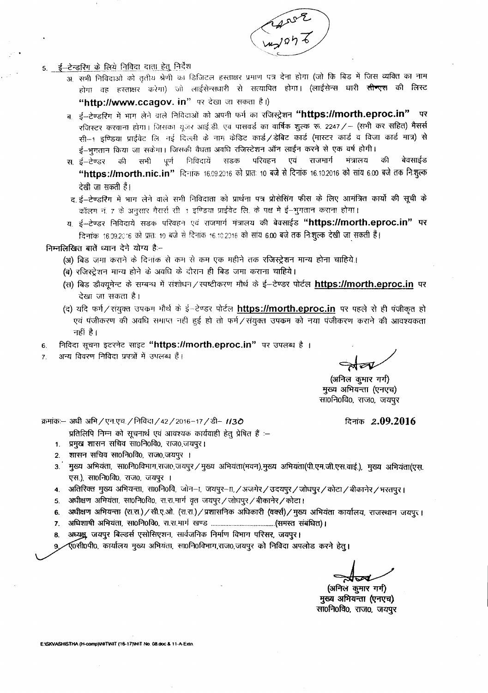

#### 5. ई-टेन्डरिंग के लिये निविदा दाता हेतू निर्देश

अ. सभी निविदाओं को तृतीय श्रेणी का डिजिटल हस्ताक्षर प्रमाण पत्र देना होगा (जो कि बिड में जिस व्यक्ति का नाम होगा वह हस्ताक्षर करेगा) जो लाईसेन्सधारी से सत्यापित होगा। (लाईसेन्स धारी <del>सीन्एस</del> की लिस्ट "http://www.ccaqov.in" पर देखा जा सकता है।)

ब, ई-टेण्डरिंग में भाग लेने वाले निविदाओं को अपनी फर्म का रजिस्ट्रेशन **"https://morth.eproc.in"** पर रजिस्टर करवाना होगा। जिसका यूजर आई.डी. एवं पासवर्ड का वार्षिक शुल्क रू. 2247 / - (सभी कर सहित) मैसर्स सी-1 इण्डिया प्राईवेट लि. नई दिल्ली के नाम केडिट कार्ड / डेबिट कार्ड (मास्टर कार्ड व विजा कार्ड मात्र) से ई–भूगतान किया जा सकेगा। जिसकी वैधता अवधि रजिस्टेशन ऑन लाईन करने से एक वर्ष होगी।

- बेवसाईड सडक परिवहन एवं राजमार्ग मंत्रालय की स ई–टेण्डर की सभी पूर्ण निविदायें "https://morth.nic.in" दिनांक 16.09.2016 को प्रातः 10 बजे से दिनांक 16.10.2016 को सांय 6.00 बजे तक निःशुल्क देखी जा सकती हैं।
- द ई-टेण्डरिंग में भाग लेने वाले सभी निविदाता को प्रार्थना पत्र प्रोसेसिंग फीस के लिए आमंत्रित कार्यो की सूची क कॉलम नं. ७ के अनुसार गैरार्स सी. १ इण्डिया प्राईवेट लि. के पक्ष में ई-भुगतान कराना होगा।
- य. ई–टेण्डर निविदायें सडक परिवहन एवं राजमार्ग मंत्रालय की बेवसाईड "https://morth.eproc.in" पर दिनांक 16.99.2016 को प्रातः 19 बजे से दिनांक 16.10.2016 को सांय 6.00 बजे तक निःशुल्क देखी जा सकती हैं।

#### निम्नलिखित बातें ध्यान देने योग्य है:-

- (अ) बिड जमा कराने के दिनांक से कम से कम एक महीने तक रजिस्ट्रेशन मान्य होना चाहिये।
- (ब) रजिस्ट्रेशन मान्य होने के अवधि के दौरान ही बिड जमा कराना चाहिये।
- (स) बिड डौक्यूमेन्ट के सम्बन्ध में संशोधन / स्पष्टीकरण मौर्थ के ई-टेण्डर पोर्टल https://morth.eproc.in पर देखा जा सकता है।
- (द) यदि फर्म/संयुक्त उपक्रम भौर्थ के ई-टेण्डर पोर्टल https://morth.eproc.in पर पहले से ही पंजीकृत हो एवं पंजीकरण की अवधि समाप्त नहीं हुई हो तो फर्म/संयुक्त उपक्रम को नया पंजीकरण कराने की आवश्यकता नहीं है।
- निविदा सूचना इटरनेट साइट "https://morth.eproc.in" पर उपलब्ध है। 6.
- अन्य विवरण निविदा प्रपत्रों में उपलब्ध हैं।  $\overline{7}$

ৰ্ম্বৰ

(अनिल कुमार गर्ग) मुख्य अभियन्ता (एनएच) सा0नि0वि0, राज0, जयपुर

क्रमांक:- अधी अभि / एन.एच. / निविदा / 42 / 2016-17 / डी- 1130

दिनांक 2.09.2016

- प्रतिलिपि निम्न को सूचनार्थ एवं आवश्यक कार्यवाही हेतु प्रेषित हैं :-
- प्रमुख शासन सचिव सा0नि0वि0, राज0,जयपुर।  $1<sup>1</sup>$
- शासन सचिव सा0नि0वि0, राज0,जयपुर ।  $2<sup>1</sup>$
- 3. मुख्य अभियंता, सा0नि0विभाग,राज0,जयपुर / मुख्य अभियंता(भवन),मुख्य अभियंता(पी.एम.जी.एस.वाई.), मुख्य अभियंता(एस. एस.), सा0नि0वि0, राज0, जयपूर ।
- 4. अतिरिक्त मुख्य अभियन्ता, सा0नि0वि, जोन-ा, जयपूर-ा, /अजमेर / उदयपुर / जोधपुर / कोटा / बीकानेर / भरतपुर ।
- 5. अधीक्षण अभियंता, सा0नि0वि0, रा.रा.मार्ग वृत जयपुर / जोधपुर / बीकानेर / कोटा।
- 6. अधीक्षण अभियन्ता (रा.रा.) / सी.ए.ओ. (रा.रा.) / प्रशासनिक अधिकारी (वर्क्स) / मुख्य अभियंता कार्यालय, राजस्थान जयपुर ।
- 
- 8. अध्यक्षु जयपुर बिल्डर्स एसोसिएशन, सार्वजनिक निर्माण विभाग परिसर, जयपुर।

.<br>ए0सी0पी0, कार्यालय मुख्य अभियंता, सा0नि0विभाग,राज0,जयपुर को निविदा अपलोड करने हेतु।

(अनिलं कुमार गर्ग) मुख्य अभियन्ता (एनएच) सा0नि0वि0, राज0, जयपुर

FISKVASHISTHA (H-comp)INITINIT (16-17)INIT No. 08 doc & 11-A-Extr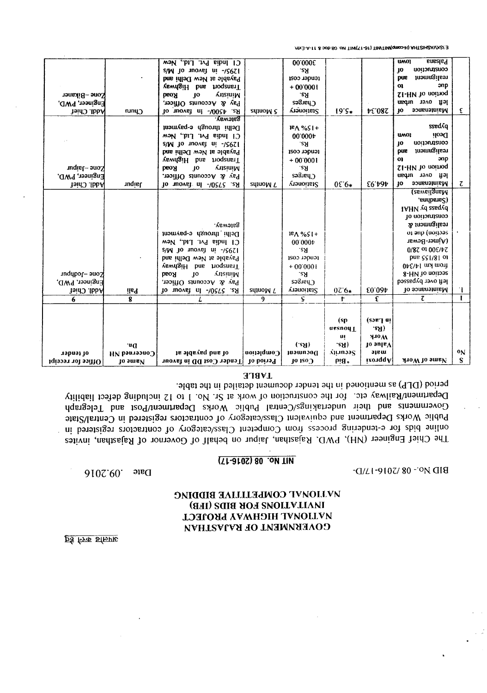<u>ps fra strive</u>

Zone-Bikaner

Addl. Chief

Engineer, PWD,

#### **PONTONAL COMPETITIVE BIDDING THE USING ROB SOUTH SIDE (BB)** ИУПОИЧТ НІСНАУ А БИОТЕСТ COVERNMENT OF RAJASTHAN

Date 9107'60'

 $-$ O/LI-9107/80 - 0N OI8

#### **AT NO. 08 (2016-17)**

Department/Railway etc. for the construction of work at Sr. No. 1 to 12 including defect liability Governments and their undertakings/Central Public Works Department/Post and Telegraph Public Works Department and equivalent Class/category of contractors registered in Central/State online bids for e-tendering process from Competent Class/category of contractors registered in The Chief Engineer (NH), PWD, Rajasthan, Jaipur on behalf of Governor of Rajasthan, invites

| 6<br>of tender<br>Office for receipt                   | 8<br>.nG<br>$HN$ banned NH<br><b>Jo small</b> | of and payable at<br>Tender Cost DD in favour                                                                                                                                                                                           | 9<br>Completion<br>Period of | S.<br>(S <sub>2</sub> )<br>Documsoft<br><b>JO 150 J</b>                                      | t<br>(sp<br>ursnoy<br>uļ<br>.ટપ્ર)<br>Ajtinaas<br>$P!B*$ | £<br>in Lacs)<br>.eAI)<br><b>H10W</b><br>$10 \text{ mpc}$<br>mate<br>ixonqqA | τ<br>Name of Work                                                                                                                                                                                                                                            | $\mathbf{o}_{N}$<br>S. |
|--------------------------------------------------------|-----------------------------------------------|-----------------------------------------------------------------------------------------------------------------------------------------------------------------------------------------------------------------------------------------|------------------------------|----------------------------------------------------------------------------------------------|----------------------------------------------------------|------------------------------------------------------------------------------|--------------------------------------------------------------------------------------------------------------------------------------------------------------------------------------------------------------------------------------------------------------|------------------------|
| kone – Jodhpur<br>Engineer, PWD,<br><b>Addl. Chief</b> | ils9                                          | Batemay.<br>Delhi through e-payment<br>$C$ I India Pvt. Ltd., New<br>$s/N$ to novel ni -/2651<br>Payable at New Delhi and<br>vewngiH bns hoqensiT<br><b>AnsiniM</b><br>реоу<br>10<br>Pay & Accounts Officer,<br>Rs. 5750/- In favour of | squo <sub>W</sub> L          | $P \wedge \%$<br>00'000r<br>Rs.<br>tender cost<br>$+00.0001$<br>.eЯ<br>Charges<br>Stationery | $07.6*$                                                  | £0.034                                                                       | (zsweilgnsM<br>, sndbens?)<br><b>IAHV vd zzaqvd</b><br>to notionalized<br>realignment &<br>or and (notipas<br>(Ajmer-Bewar<br>$0/87$ of $005/67$<br>pue cc1/81 of<br>$0\nu$ [/b] $\mu$ [/m] $\mu$<br>8-HM To noitose<br>left over bypassed<br>Maintenance of | ٠ı                     |
| Zone-Jaipur<br>Engineer, PWD,<br><b>Addl. Chief</b>    | uqisl                                         | $s/N$ to novel $ni$ -/2021<br>Payable at New Delhi and<br>Tangull bus nodensit<br>10<br><b>Austri</b><br><b>Road</b><br>Pay & Accounts Officer,<br>Rs. 5750/- In favour of                                                              | sylnoM L                     | .eA<br>tender cost<br>$+00.0001$<br>'SY<br>ຂອງາຣກ່<br>Stationery                             | $05.6*$                                                  | E6 191                                                                       | construction<br>10<br>ກາວກາກຊູເໄຣອາ<br>pue<br>O <sub>1</sub><br>anp<br>SI-HV 10 noinoq<br>left over urban<br>Maintenance<br>ĮО                                                                                                                               | τ                      |

C1 India Pvt. Ltd., New

elM to movet ni -\cess!

Payable at New Delhi and

vewdgiH bns noqensiT

Pay & Accounts Officer,

Rs. 4500/- In favour of

Delhi through e-payment

C1 India Pvt. Ltd., New

**AusiniM** 

<u> Baieway.</u>

 $10$ 

**Road** 

Chun

mx3-A-11 & 30b.80 .on TIM(T1-31) TIMTIM(qmaxH) AHTZIHZAVXIZ/:3

**48.94** 

00.000£

`Sγ

tender cost

 $+00.0001$ 

 $s<sub>2</sub>$ 

Charges

Stationery

 $18A$ %SI+

 $00.000 \text{p}$ 

sdinoM 2

 $19.5*$ 

**Bussland** 

anp

ssedáq Deoli £

construction

bns Inomngilson

SI-HM To noitioq

left over urban

Maintenance of

**UMOI** 

 ${10}$ 

 $\mathbf{O}$ 

**UMOI**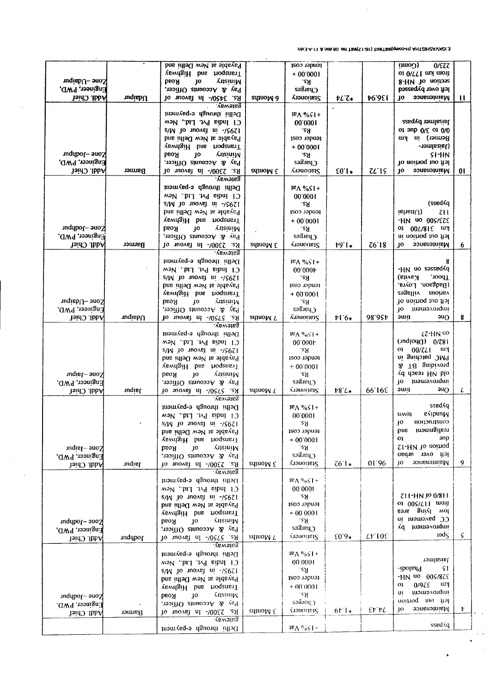E:\SHOVSHISHA (H-comp)\MITMUT(16-17)MHT No. 08.doc & 11-A-Exin.

|                                      |               | Payable at New Delhi and                                           |                    | tender cost                    |                   |                        | (uwo)<br>$0$ /EZZ                        |                 |
|--------------------------------------|---------------|--------------------------------------------------------------------|--------------------|--------------------------------|-------------------|------------------------|------------------------------------------|-----------------|
|                                      |               | Tangail bas hoqener                                                |                    | $+00.0001$                     |                   |                        | of ONTTI mul mont                        |                 |
| zone -Udaipur                        |               | <b>AnsiniM</b><br><b>PEOH</b><br>JО                                |                    | -୧୨                            |                   |                        | 8-HM 10 noitose                          |                 |
| Engineer, PWD,                       |               | Pay & Accounts Officer,                                            |                    | Charges                        |                   |                        | left over bypassed                       |                 |
| <b>Addl. Chief</b>                   | <b>uqisbU</b> | Rs. 3450/- In favour of<br><b>Galervay.</b>                        | squo <sub>W9</sub> | Stationery                     | $FL^2$            | 49.94                  | Maintenance<br>10.                       | $\mathbf{H}$    |
|                                      |               | Delhi through e-payment                                            |                    |                                |                   |                        |                                          |                 |
|                                      |               | C1 India Pvt. Ltd., New                                            |                    | $P \wedge \% \zeta$<br>00.0001 |                   |                        | Jaisalmer bypass                         |                 |
|                                      |               | $S/W$ jo inover $u_i$ -/ $S6ZI$                                    |                    | .ટપ્ર                          |                   |                        | of aub $0 \times 0.00$                   |                 |
|                                      |               | Payable at New Delhi and                                           |                    | tender cost                    |                   |                        | Berner) in km                            |                 |
|                                      |               | <b>YewngiH</b> bus hoqenerT                                        |                    | $+00.0001$                     |                   |                        | (Jaisalmer-                              |                 |
| Zone --Jodhpur                       |               | <b>AnsiniM</b><br><b>BEOA</b><br>40                                |                    | .ટપ્ર                          |                   |                        | SI-HN                                    |                 |
| Engineer, PWD,                       |               | Pay & Accounts Officer,                                            |                    | Charges                        |                   |                        | le ft out portion of                     |                 |
| <b>Addl. Chief</b>                   | Barmer        | Rs. 2300/- In favour of                                            | 3 Months           | <b>Vianoisis?</b>              | $E0$ <sup>*</sup> | UIS                    | Maintenance<br>10                        | 01              |
|                                      |               | ратемау.                                                           |                    |                                |                   |                        |                                          |                 |
|                                      |               | Delhi through e-payment                                            |                    | $P \wedge \%$ sl+              |                   |                        |                                          |                 |
|                                      |               | C1 India Pvt. Ltd., New                                            |                    | 00.0001                        |                   |                        |                                          |                 |
|                                      |               | $s/W$ jo movel $m$ -/ $S6Z$ ]                                      |                    | .eЯ                            |                   |                        | (ssed Gq                                 |                 |
|                                      |               | Payable at New Delhi and                                           |                    | tender cost                    |                   |                        | $\mathbf{q}$ ishau $\mathbf{u}$<br>711   |                 |
|                                      |               | vevidaiH bns hoqeneri                                              |                    | $+00.0001$                     |                   |                        | -HN 40 00S/EZE                           |                 |
| Kone -Jodhpur<br>Engineer, PWD,      |               | <b>Road</b><br>JO.<br><b>Ansiginal</b>                             |                    | .eЯ<br>Charges                 |                   |                        | 01 00L/815 WY                            |                 |
| <b>Addl. Chief</b>                   | Barmer        | Pay & Accounts Officer,                                            |                    | Stationery                     | $19.1*$           | 76'18                  | left out portion in<br>Maintenance<br>JО |                 |
|                                      |               | 10 зночет пі тамош об<br><b>Sateway.</b>                           | squoM &            |                                |                   |                        |                                          | $6\phantom{.}6$ |
|                                      |               | Delhi through e-payment                                            |                    | $18\sqrt{851}$ +               |                   |                        | 8                                        |                 |
|                                      |               | C1 hndia Pvt. Ltd., New                                            |                    | 00.000 <sub>b</sub>            |                   |                        | -HN no esseeqvd                          |                 |
|                                      |               | $S/N$ jo inovej ui $-15671$                                        |                    | .eЯ                            |                   |                        | Kavita)<br>Thoor,                        |                 |
|                                      |               | Payable at New Delhi and                                           |                    | tender cost                    |                   |                        | (Badgaon. Loyra,                         |                 |
|                                      |               | Tanglit bus noqensi                                                |                    | $+00.0001$                     |                   |                        | villages<br><b>SUOLIBY</b>               |                 |
| Pone -Udaipur                        |               | <b>AnsimiM</b><br><b>Road</b><br>JО                                |                    | .εЯ.                           |                   |                        | lo noinoq mo flal                        |                 |
| Engineer, PWD.                       |               | Pay & Accounts Officer,                                            |                    | ຮອຮື່ມະນຸງ                     |                   |                        | 10 tripmayordini                         |                 |
| <b>Addl. Chief</b>                   | Udapur        | Rs. 5750/- In favour of                                            | squo <sub>WL</sub> | Stationery                     | $16*$             | 98.954                 | ami<br>90Q                               | 8               |
|                                      |               | <b>Bateway.</b>                                                    |                    |                                |                   |                        |                                          |                 |
|                                      |               | Delhi through e-payment                                            |                    | $R \wedge \sqrt[6]{65}$ +      |                   |                        | LZ-HN UO<br>$($ und $ 04Q)$ $0/78i$      |                 |
|                                      |               | C1 holia Pvt. Ltd., New                                            |                    | 00.0001                        |                   |                        | $00/ZL1$ $W$<br>01                       |                 |
|                                      |               | $S/N$ io tuovat ni - $/5671$<br>Payable at New Delhi and           |                    | .eЯ<br>tender cost             |                   |                        | PMC patching in                          |                 |
|                                      |               | vevilaiH bns hoqensil                                              |                    | $+000001$                      |                   |                        | 2 T8 gnibivong                           |                 |
| Zone --Jaipur                        |               | <b>AllsiniM</b><br><b>Bso</b> <i>R</i><br>10                       |                    | .es                            |                   |                        | dd dasar HV blo                          |                 |
|                                      |               |                                                                    |                    |                                |                   |                        |                                          |                 |
|                                      |               |                                                                    |                    | Charges                        |                   |                        | ŢО<br>inprovement                        |                 |
| Engineer, PWD,<br><b>Addl. Chief</b> |               | Pay & Accounts Officer,<br>Rs. 5750/- In favour of                 | squo <sub>WL</sub> | Stationery                     | $18L*$            | 66 16E                 | 90Q<br>əwn                               | L               |
|                                      | <b>Tuqist</b> | Авиоцев.                                                           |                    |                                |                   |                        |                                          |                 |
|                                      |               | Delhi through e-payment                                            |                    | $P \wedge \% \subseteq I +$    |                   |                        | ssedAq                                   |                 |
|                                      |               | C1 India Pvt. Ltd., New                                            |                    | 00.0001                        |                   |                        | evibuuM<br>UA\01                         |                 |
|                                      |               | $s/N$ jo $100\text{ GeV}$ u <sub>1</sub> $\frac{1}{56}$            |                    | ۰ε۶I                           |                   |                        | construction<br>ŢО                       |                 |
|                                      |               | Payable at New Delhi and                                           |                    | render cost                    |                   |                        | າຕອແທຊູເໄຣອາ<br>pue                      |                 |
|                                      |               | <b>VewdgiH</b> bns hoqenerT                                        |                    | $+00.0001$                     |                   |                        | O <sub>1</sub><br>эпр                    |                 |
| Zone-Jaipur                          |               | <b>AnsiniM</b><br><b>JO</b><br><b>Road</b>                         |                    | .e.                            |                   |                        | SI-HN Jo uoinod                          |                 |
| Engineer, PWD,                       |               | Pay & Accounts Officer,                                            |                    | Charges                        |                   |                        | left over urban                          |                 |
| Addl. Chief                          | uqist         | Rs. 2300/- In tavour of                                            | shnoM &            | Stationery                     | $761*$            | 01.96                  | Maintenance<br>10                        | 9               |
|                                      |               | <b>Bateway.</b>                                                    |                    |                                |                   |                        |                                          |                 |
|                                      |               | Delhi through e-payment                                            |                    | $18 \wedge 965$ +              |                   |                        |                                          |                 |
|                                      |               | C1 India Pvt. Ltd., New                                            |                    | 00'0001<br>∹εy                 |                   |                        | 711-HN JO 0/811                          |                 |
|                                      |               | s/M to novel ni -/2021<br>Payable at New Delhi and                 |                    | tender cost                    |                   |                        | of $002/511$ mon                         |                 |
|                                      |               | vswdgiH bns noqensiT                                               |                    | $+00,0001$                     |                   |                        | ber gnivl wol                            |                 |
| Zone --Jodhpur                       |               | AnsiniM<br><b>Road</b><br>10                                       |                    | ∴εЯ                            |                   |                        | CC paventent in                          |                 |
| Engineer, PWD,                       |               | Pay & Accounts Officer,                                            |                    | Charges                        |                   |                        | improvement py                           |                 |
| <b>Addl. Chief</b>                   | Jodhpur       | Rs. 5750/- In favour of                                            | squow L            | <b>Tranoinal</b>               | $$0.9*$           | Lf.105                 | 10d <sub>S</sub>                         | $\varsigma$     |
|                                      |               | <b>Sateway.</b>                                                    |                    |                                |                   |                        |                                          |                 |
|                                      |               | Delhi through e-payment                                            |                    | $18\sqrt{665}$ +               |                   |                        | tomlasiat                                |                 |
|                                      |               | C1 India Pvt. Ltd., New                                            |                    | 00.0001                        |                   |                        | -S L<br>-ibolar-                         |                 |
|                                      |               | s/M 10 noval ni -/2051                                             |                    | ્ટપ્ર                          |                   |                        | $-HN$ uo $00S/87E$                       |                 |
|                                      |               | Payable at New Delhi and                                           |                    | tender cost<br>$+00,0001$      |                   |                        | $0/9Z\mathcal{E}$<br>wу<br>$_{01}$       |                 |
|                                      |               | vsvngiH bns hoqenerT                                               |                    | .≀8 S                          |                   |                        | improvement<br>uı                        |                 |
| Sone –Jodhpur                        |               | Amsturity<br>$_{\rm jo}$<br><b>Road</b><br>Pay & Accounts Officer. |                    | ี รออิมขนุ )                   |                   |                        | treft out portion                        |                 |
| Engineer, PWD,                       | Barmer        | Rs. 2300/- In favour of                                            | sdinoM &           | <b>Alattoiner?</b>             | $6F_{\pm}$        | $\epsilon$ t t $\iota$ | Maintenance<br>10                        | Þ.              |
| Addl. Chief                          |               | ำโยงเลเยลี<br>Delhi through e-payment                              |                    | $18V$ $0.67 +$                 |                   |                        | ssed sq                                  |                 |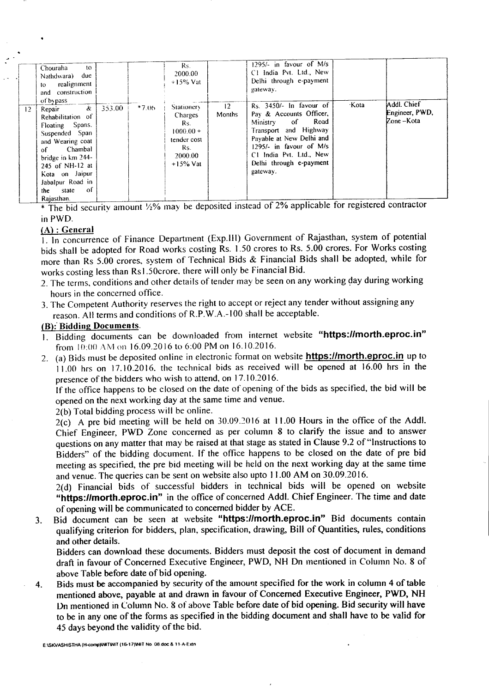|                 | Chouraha<br>10<br>due<br>Nathdwara)<br>realignment<br>to<br>and construction<br>of bypass                                                                                                                                                            |        |         | Rs.<br>2000.00<br>$+15\%$ Vat                                                                             | 12     | $1295/-$ in favour of M/s<br>C1 India Pvt. Ltd., New<br>Delhi through e-payment<br>gateway.<br>Rs. 3450/- In favour of                                                                                 | <b>Kota</b> | Addl. Chief                                          |
|-----------------|------------------------------------------------------------------------------------------------------------------------------------------------------------------------------------------------------------------------------------------------------|--------|---------|-----------------------------------------------------------------------------------------------------------|--------|--------------------------------------------------------------------------------------------------------------------------------------------------------------------------------------------------------|-------------|------------------------------------------------------|
| 12 <sup>2</sup> | $\boldsymbol{\mathcal{X}}$<br>Repair<br>Rehabilitation of<br>Floating Spans.<br>Suspended Span<br>and Wearing coat<br>Chambal<br>of<br>bridge in km 244-<br>245 of NH-12 at<br>Kota on Jaipur<br>Jabalpur Road in<br>- of<br>the state<br>Rajasthan. | 353.00 | $*7.06$ | <b>Stationery</b><br><b>Charges</b><br>Rs.<br>$1000.00 +$<br>tender cost<br>Rs.<br>2000.00<br>$+15\%$ Vat | Months | Pay & Accounts Officer,<br>Road<br>-of<br>Ministry<br>Transport and Highway<br>Pavable at New Delhi and<br>$1295/-$ in favour of M/s<br>C1 India Pvt. Ltd., New<br>Delhi through e-payment<br>gateway. |             | Engineer, PWD,<br>$\mathbb{Z}$ one $-\mathbb{K}$ ota |

 $*$  The bid security amount  $\frac{1}{2}\%$  may be deposited instead of 2% applicable for registered contractor inPWD.

#### (A) : General

I. In concurrence of Finance Department (Exp.lII) Government of Rajasthan, system of potential bids shall be adopted for Road works costing Rs. 1.50 crores to Rs. 5.00 crores. For Works costing more than Rs 5.00 crores, system of Technical Bids & Financial Bids shall be adopted, while for works costing less than Rs 1.50crore. there will only be Financial Bid.

- 2. The terms, conditions and other details of tender may be seen on any working day during working hours in the concerned office.
- 3. The Competent Authority reserves the right to accept or reject any tender without assigning any reason. All terms and conditions of R.P.W.A.-100 shall be acceptable.

#### (B):'Bidding Documents.

- 1. Bidding documents can be downloaded from internet website "https://morth.eproc.in" from  $10:00$  AM on 16.09.2016 to 6:00 PM on 16.10.2016.
- 2. (a) Bids must be deposited online in electronic format on website **https://morth.eproc.in** up to  $11.00$  hrs on 17.10.2016, the technical bids as received will be opened at 16.00 hrs in the presence of the bidders who wish to attend, on 17.10.2016.

If the office happens to be closed on the date of opening of the bids as specified, the bid will be opened on the next working day at the same time and venue.

2(b) Total bidding process will be online.

2(c) A pre bid meeting will be held on 30.09.2016 at 11.00 Hours in the office of the Addl. Chief Engineer, PWD Zone concerned as per column 8 to clarify the issue and to answer questions on any matter that may be raised at that stage as stated in Clause 9.2 of "Instructions to Bidders" of the bidding document. If the office happens to be closed on the date of pre bid meeting as specified, the pre bid meeting will be held on the next working day at the same time and venue. The queries can be sent on website also upto 11.00 AM on 30.09.2016.

2(d) Financial bids of successful bidders in technical bids will be opened on website "https://morth.eproc.in" in the office of concerned Addl. Chief Engineer. The time and date of opening will be communicated to concerned bidder by ACE.

3. Bid document can be seen at website "https:llmorth.eproc.in" Bid documents contain qualifying criterion for bidders, plan, specification, drawing, Bill of Quantities, rules, conditions and other details.

Bidders can download these documents. Bidders must deposit the cost of document in demand draft in favour of Concerned Executive Engineer, PWD, NH Dn mentioned in Column No.8 of above Table before date of bid opening.

4. Bids must be accompanied by security of the amount specified for the work in column 4 of table mentioned above, payable at and drawn in favour of Concerned Executive Engineer, PWD, NH Dn mentioned in Column No.8 of above Table before date of bid opening. Bid security will have to be in anyone of the forms as specified in the bidding document and shall have to be valid for 45 days beyond the validity of the bid.

E:ISKVASHISTHA (H-comp)INITINIT (16-17)WIT No. 08.doc & 11-A-Extn